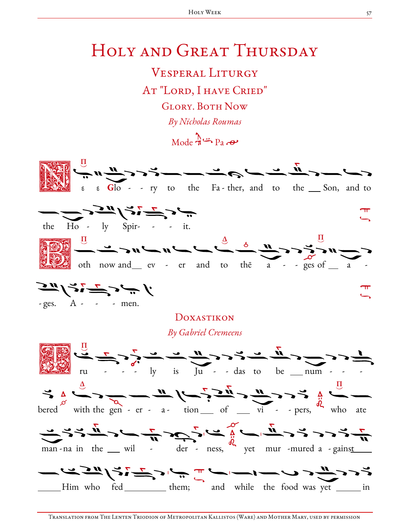## HOLY AND GREAT THURSDAY

**VESPERAL LITURGY** AT "LORD, I HAVE CRIED" **GLORY. BOTH NOW** By Nicholas Roumas

 $Mode \xrightarrow{\Lambda} P_3 \xrightarrow{\bullet} P_4$ 

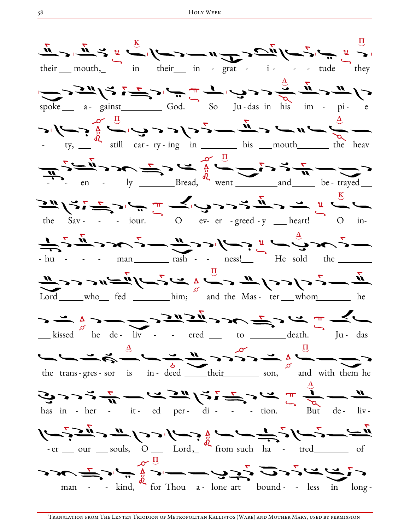